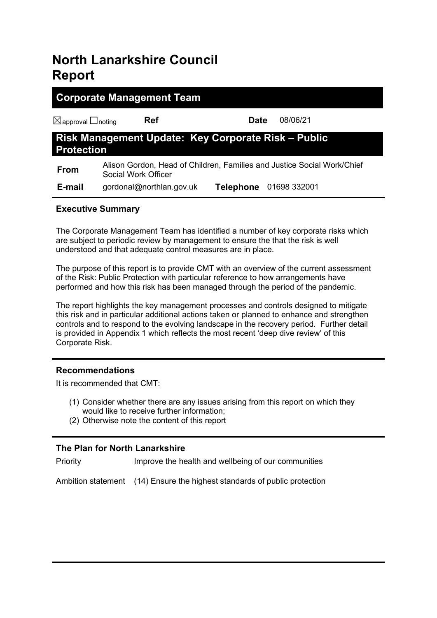# **North Lanarkshire Council Report**

| <b>Corporate Management Team</b>                                         |                          |                                                                         |          |  |  |
|--------------------------------------------------------------------------|--------------------------|-------------------------------------------------------------------------|----------|--|--|
| $\boxtimes$ approval $\Box$ noting                                       | <b>Ref</b>               | Date                                                                    | 08/06/21 |  |  |
| Risk Management Update: Key Corporate Risk - Public<br><b>Protection</b> |                          |                                                                         |          |  |  |
| <b>From</b>                                                              | Social Work Officer      | Alison Gordon, Head of Children, Families and Justice Social Work/Chief |          |  |  |
| E-mail                                                                   | gordonal@northlan.gov.uk | Telephone 01698 332001                                                  |          |  |  |

# **Executive Summary**

The Corporate Management Team has identified a number of key corporate risks which are subject to periodic review by management to ensure the that the risk is well understood and that adequate control measures are in place.

The purpose of this report is to provide CMT with an overview of the current assessment of the Risk: Public Protection with particular reference to how arrangements have performed and how this risk has been managed through the period of the pandemic.

The report highlights the key management processes and controls designed to mitigate this risk and in particular additional actions taken or planned to enhance and strengthen controls and to respond to the evolving landscape in the recovery period. Further detail is provided in Appendix 1 which reflects the most recent 'deep dive review' of this Corporate Risk.

# **Recommendations**

It is recommended that CMT:

- (1) Consider whether there are any issues arising from this report on which they would like to receive further information;
- (2) Otherwise note the content of this report

# **The Plan for North Lanarkshire**

Priority Improve the health and wellbeing of our communities

Ambition statement (14) Ensure the highest standards of public protection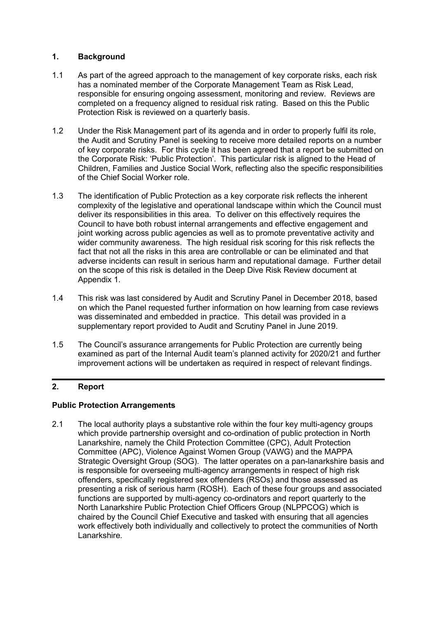## **1. Background**

- 1.1 As part of the agreed approach to the management of key corporate risks, each risk has a nominated member of the Corporate Management Team as Risk Lead, responsible for ensuring ongoing assessment, monitoring and review. Reviews are completed on a frequency aligned to residual risk rating. Based on this the Public Protection Risk is reviewed on a quarterly basis.
- 1.2 Under the Risk Management part of its agenda and in order to properly fulfil its role, the Audit and Scrutiny Panel is seeking to receive more detailed reports on a number of key corporate risks. For this cycle it has been agreed that a report be submitted on the Corporate Risk: 'Public Protection'. This particular risk is aligned to the Head of Children, Families and Justice Social Work, reflecting also the specific responsibilities of the Chief Social Worker role.
- 1.3 The identification of Public Protection as a key corporate risk reflects the inherent complexity of the legislative and operational landscape within which the Council must deliver its responsibilities in this area. To deliver on this effectively requires the Council to have both robust internal arrangements and effective engagement and joint working across public agencies as well as to promote preventative activity and wider community awareness. The high residual risk scoring for this risk reflects the fact that not all the risks in this area are controllable or can be eliminated and that adverse incidents can result in serious harm and reputational damage. Further detail on the scope of this risk is detailed in the Deep Dive Risk Review document at Appendix 1.
- 1.4 This risk was last considered by Audit and Scrutiny Panel in December 2018, based on which the Panel requested further information on how learning from case reviews was disseminated and embedded in practice. This detail was provided in a supplementary report provided to Audit and Scrutiny Panel in June 2019.
- 1.5 The Council's assurance arrangements for Public Protection are currently being examined as part of the Internal Audit team's planned activity for 2020/21 and further improvement actions will be undertaken as required in respect of relevant findings.

# **2. Report**

## **Public Protection Arrangements**

2.1 The local authority plays a substantive role within the four key multi-agency groups which provide partnership oversight and co-ordination of public protection in North Lanarkshire, namely the Child Protection Committee (CPC), Adult Protection Committee (APC), Violence Against Women Group (VAWG) and the MAPPA Strategic Oversight Group (SOG). The latter operates on a pan-lanarkshire basis and is responsible for overseeing multi-agency arrangements in respect of high risk offenders, specifically registered sex offenders (RSOs) and those assessed as presenting a risk of serious harm (ROSH). Each of these four groups and associated functions are supported by multi-agency co-ordinators and report quarterly to the North Lanarkshire Public Protection Chief Officers Group (NLPPCOG) which is chaired by the Council Chief Executive and tasked with ensuring that all agencies work effectively both individually and collectively to protect the communities of North Lanarkshire.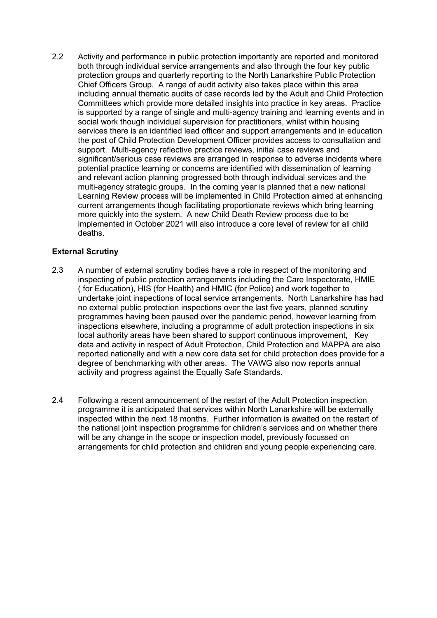2.2 Activity and performance in public protection importantly are reported and monitored both through individual service arrangements and also through the four key public protection groups and quarterly reporting to the North Lanarkshire Public Protection Chief Officers Group. A range of audit activity also takes place within this area including annual thematic audits of case records led by the Adult and Child Protection Committees which provide more detailed insights into practice in key areas. Practice is supported by a range of single and multi-agency training and learning events and in social work though individual supervision for practitioners, whilst within housing services there is an identified lead officer and support arrangements and in education the post of Child Protection Development Officer provides access to consultation and support. Multi-agency reflective practice reviews, initial case reviews and significant/serious case reviews are arranged in response to adverse incidents where potential practice learning or concerns are identified with dissemination of learning and relevant action planning progressed both through individual services and the multi-agency strategic groups. In the coming year is planned that a new national Learning Review process will be implemented in Child Protection aimed at enhancing current arrangements though facilitating proportionate reviews which bring learning more quickly into the system. A new Child Death Review process due to be implemented in October 2021 will also introduce a core level of review for all child deaths.

# **External Scrutiny**

- 2.3 A number of external scrutiny bodies have a role in respect of the monitoring and inspecting of public protection arrangements including the Care Inspectorate, HMIE ( for Education), HIS (for Health) and HMIC (for Police) and work together to undertake joint inspections of local service arrangements. North Lanarkshire has had no external public protection inspections over the last five years, planned scrutiny programmes having been paused over the pandemic period, however learning from inspections elsewhere, including a programme of adult protection inspections in six local authority areas have been shared to support continuous improvement, Key data and activity in respect of Adult Protection, Child Protection and MAPPA are also reported nationally and with a new core data set for child protection does provide for a degree of benchmarking with other areas. The VAWG also now reports annual activity and progress against the Equally Safe Standards.
- 2.4 Following a recent announcement of the restart of the Adult Protection inspection programme it is anticipated that services within North Lanarkshire will be externally inspected within the next 18 months. Further information is awaited on the restart of the national joint inspection programme for children's services and on whether there will be any change in the scope or inspection model, previously focussed on arrangements for child protection and children and young people experiencing care.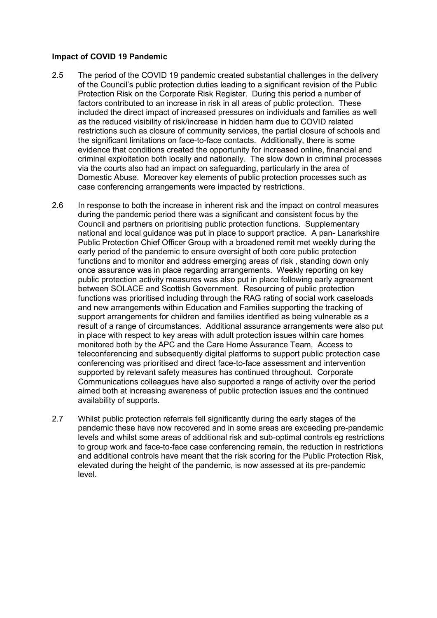#### **Impact of COVID 19 Pandemic**

- 2.5 The period of the COVID 19 pandemic created substantial challenges in the delivery of the Council's public protection duties leading to a significant revision of the Public Protection Risk on the Corporate Risk Register. During this period a number of factors contributed to an increase in risk in all areas of public protection. These included the direct impact of increased pressures on individuals and families as well as the reduced visibility of risk/increase in hidden harm due to COVID related restrictions such as closure of community services, the partial closure of schools and the significant limitations on face-to-face contacts. Additionally, there is some evidence that conditions created the opportunity for increased online, financial and criminal exploitation both locally and nationally. The slow down in criminal processes via the courts also had an impact on safeguarding, particularly in the area of Domestic Abuse. Moreover key elements of public protection processes such as case conferencing arrangements were impacted by restrictions.
- 2.6 In response to both the increase in inherent risk and the impact on control measures during the pandemic period there was a significant and consistent focus by the Council and partners on prioritising public protection functions. Supplementary national and local guidance was put in place to support practice. A pan- Lanarkshire Public Protection Chief Officer Group with a broadened remit met weekly during the early period of the pandemic to ensure oversight of both core public protection functions and to monitor and address emerging areas of risk , standing down only once assurance was in place regarding arrangements. Weekly reporting on key public protection activity measures was also put in place following early agreement between SOLACE and Scottish Government. Resourcing of public protection functions was prioritised including through the RAG rating of social work caseloads and new arrangements within Education and Families supporting the tracking of support arrangements for children and families identified as being vulnerable as a result of a range of circumstances. Additional assurance arrangements were also put in place with respect to key areas with adult protection issues within care homes monitored both by the APC and the Care Home Assurance Team, Access to teleconferencing and subsequently digital platforms to support public protection case conferencing was prioritised and direct face-to-face assessment and intervention supported by relevant safety measures has continued throughout. Corporate Communications colleagues have also supported a range of activity over the period aimed both at increasing awareness of public protection issues and the continued availability of supports.
- 2.7 Whilst public protection referrals fell significantly during the early stages of the pandemic these have now recovered and in some areas are exceeding pre-pandemic levels and whilst some areas of additional risk and sub-optimal controls eg restrictions to group work and face-to-face case conferencing remain, the reduction in restrictions and additional controls have meant that the risk scoring for the Public Protection Risk, elevated during the height of the pandemic, is now assessed at its pre-pandemic level.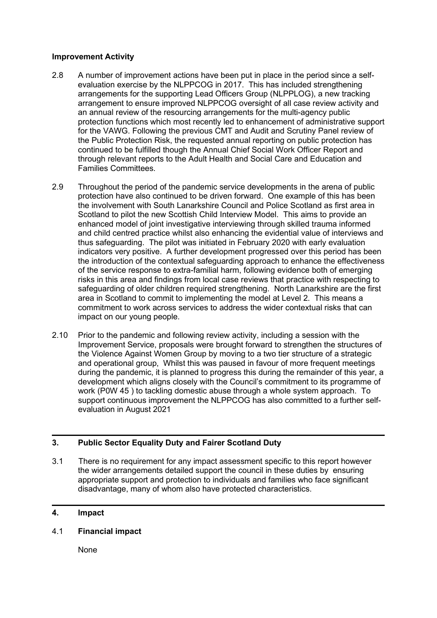#### **Improvement Activity**

- 2.8 A number of improvement actions have been put in place in the period since a selfevaluation exercise by the NLPPCOG in 2017. This has included strengthening arrangements for the supporting Lead Officers Group (NLPPLOG), a new tracking arrangement to ensure improved NLPPCOG oversight of all case review activity and an annual review of the resourcing arrangements for the multi-agency public protection functions which most recently led to enhancement of administrative support for the VAWG. Following the previous CMT and Audit and Scrutiny Panel review of the Public Protection Risk, the requested annual reporting on public protection has continued to be fulfilled though the Annual Chief Social Work Officer Report and through relevant reports to the Adult Health and Social Care and Education and Families Committees.
- 2.9 Throughout the period of the pandemic service developments in the arena of public protection have also continued to be driven forward. One example of this has been the involvement with South Lanarkshire Council and Police Scotland as first area in Scotland to pilot the new Scottish Child Interview Model. This aims to provide an enhanced model of joint investigative interviewing through skilled trauma informed and child centred practice whilst also enhancing the evidential value of interviews and thus safeguarding. The pilot was initiated in February 2020 with early evaluation indicators very positive. A further development progressed over this period has been the introduction of the contextual safeguarding approach to enhance the effectiveness of the service response to extra-familial harm, following evidence both of emerging risks in this area and findings from local case reviews that practice with respecting to safeguarding of older children required strengthening. North Lanarkshire are the first area in Scotland to commit to implementing the model at Level 2. This means a commitment to work across services to address the wider contextual risks that can impact on our young people.
- 2.10 Prior to the pandemic and following review activity, including a session with the Improvement Service, proposals were brought forward to strengthen the structures of the Violence Against Women Group by moving to a two tier structure of a strategic and operational group, Whilst this was paused in favour of more frequent meetings during the pandemic, it is planned to progress this during the remainder of this year, a development which aligns closely with the Council's commitment to its programme of work (P0W 45 ) to tackling domestic abuse through a whole system approach. To support continuous improvement the NLPPCOG has also committed to a further selfevaluation in August 2021

## **3. Public Sector Equality Duty and Fairer Scotland Duty**

3.1 There is no requirement for any impact assessment specific to this report however the wider arrangements detailed support the council in these duties by ensuring appropriate support and protection to individuals and families who face significant disadvantage, many of whom also have protected characteristics.

## **4. Impact**

4.1 **Financial impact**

None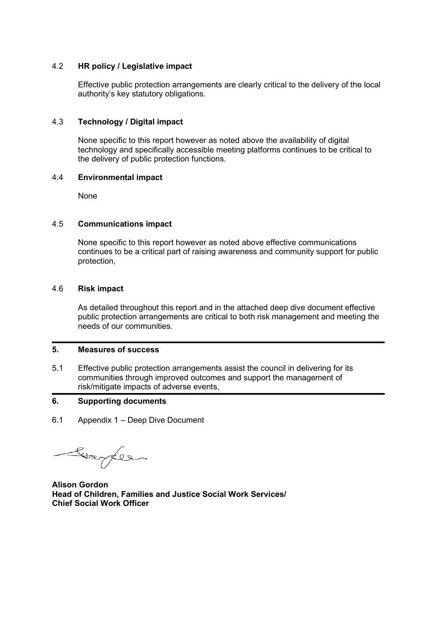## 4.2 **HR policy / Legislative impact**

Effective public protection arrangements are clearly critical to the delivery of the local authority's key statutory obligations.

#### 4.3 **Technology / Digital impact**

None specific to this report however as noted above the availability of digital technology and specifically accessible meeting platforms continues to be critical to the delivery of public protection functions.

#### 4.4 **Environmental impact**

None

#### 4.5 **Communications impact**

None specific to this report however as noted above effective communications continues to be a critical part of raising awareness and community support for public protection,

#### 4.6 **Risk impact**

As detailed throughout this report and in the attached deep dive document effective public protection arrangements are critical to both risk management and meeting the needs of our communities.

## **5. Measures of success**

5.1 Effective public protection arrangements assist the council in delivering for its communities through improved outcomes and support the management of risk/mitigate impacts of adverse events,

## **6. Supporting documents**

6.1 Appendix 1 – Deep Dive Document

Comper

**Alison Gordon Head of Children, Families and Justice Social Work Services/ Chief Social Work Officer**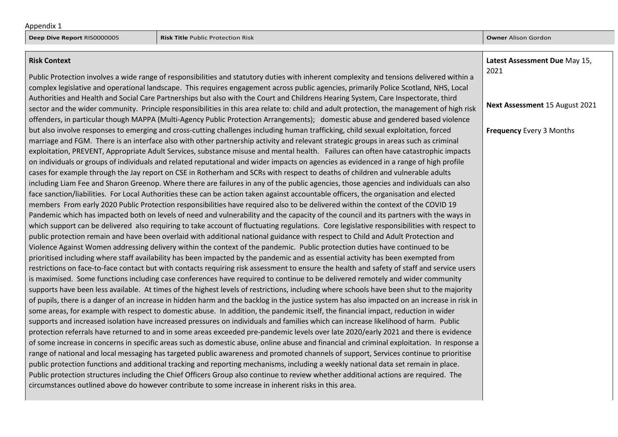**Latest Assessment Due** May 15,

#### **Risk Context**

Public Protection involves a wide range of responsibilities and statutory duties with inherent complexity and tensions delivered within a complex legislative and operational landscape. This requires engagement across public agencies, primarily Police Scotland, NHS, Local Authorities and Health and Social Care Partnerships but also with the Court and Childrens Hearing System, Care Inspectorate, third sector and the wider community. Principle responsibilities in this area relate to: child and adult protection, the management of high risk offenders, in particular though MAPPA (Multi-Agency Public Protection Arrangements); domestic abuse and gendered based violence but also involve responses to emerging and cross-cutting challenges including human trafficking, child sexual exploitation, forced marriage and FGM. There is an interface also with other partnership activity and relevant strategic groups in areas such as criminal exploitation, PREVENT, Appropriate Adult Services, substance misuse and mental health. Failures can often have catastrophic impacts on individuals or groups of individuals and related reputational and wider impacts on agencies as evidenced in a range of high profile cases for example through the Jay report on CSE in Rotherham and SCRs with respect to deaths of children and vulnerable adults including Liam Fee and Sharon Greenop. Where there are failures in any of the public agencies, those agencies and individuals can also face sanction/liabilities. For Local Authorities these can be action taken against accountable officers, the organisation and elected members From early 2020 Public Protection responsibilities have required also to be delivered within the context of the COVID 19 Pandemic which has impacted both on levels of need and vulnerability and the capacity of the council and its partners with the ways in which support can be delivered also requiring to take account of fluctuating regulations. Core legislative responsibilities with respect to public protection remain and have been overlaid with additional national guidance with respect to Child and Adult Protection and Violence Against Women addressing delivery within the context of the pandemic. Public protection duties have continued to be prioritised including where staff availability has been impacted by the pandemic and as essential activity has been exempted from restrictions on face-to-face contact but with contacts requiring risk assessment to ensure the health and safety of staff and service users is maximised. Some functions including case conferences have required to continue to be delivered remotely and wider community supports have been less available. At times of the highest levels of restrictions, including where schools have been shut to the majority of pupils, there is a danger of an increase in hidden harm and the backlog in the justice system has also impacted on an increase in risk in some areas, for example with respect to domestic abuse. In addition, the pandemic itself, the financial impact, reduction in wider supports and increased isolation have increased pressures on individuals and families which can increase likelihood of harm. Public protection referrals have returned to and in some areas exceeded pre-pandemic levels over late 2020/early 2021 and there is evidence of some increase in concerns in specific areas such as domestic abuse, online abuse and financial and criminal exploitation. In response a range of national and local messaging has targeted public awareness and promoted channels of support, Services continue to prioritise public protection functions and additional tracking and reporting mechanisms, including a weekly national data set remain in place. Public protection structures including the Chief Officers Group also continue to review whether additional actions are required. The circumstances outlined above do however contribute to some increase in inherent risks in this area. 2021 **Next Assessment** 15 August 2021 **Frequency** Every 3 Months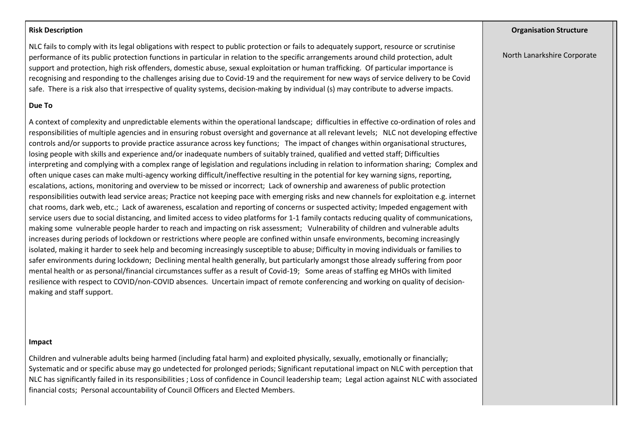#### **Risk Description**

NLC fails to comply with its legal obligations with respect to public protection or fails to adequately support, resource or scrutinise performance of its public protection functions in particular in relation to the specific arrangements around child protection, adult support and protection, high risk offenders, domestic abuse, sexual exploitation or human trafficking. Of particular importance is recognising and responding to the challenges arising due to Covid-19 and the requirement for new ways of service delivery to be Covid safe. There is a risk also that irrespective of quality systems, decision-making by individual (s) may contribute to adverse impacts.

#### **Due To**

A context of complexity and unpredictable elements within the operational landscape; difficulties in effective co-ordination of roles and responsibilities of multiple agencies and in ensuring robust oversight and governance at all relevant levels; NLC not developing effective controls and/or supports to provide practice assurance across key functions; The impact of changes within organisational structures, losing people with skills and experience and/or inadequate numbers of suitably trained, qualified and vetted staff; Difficulties interpreting and complying with a complex range of legislation and regulations including in relation to information sharing; Complex and often unique cases can make multi-agency working difficult/ineffective resulting in the potential for key warning signs, reporting, escalations, actions, monitoring and overview to be missed or incorrect; Lack of ownership and awareness of public protection responsibilities outwith lead service areas; Practice not keeping pace with emerging risks and new channels for exploitation e.g. internet chat rooms, dark web, etc.; Lack of awareness, escalation and reporting of concerns or suspected activity; Impeded engagement with service users due to social distancing, and limited access to video platforms for 1-1 family contacts reducing quality of communications, making some vulnerable people harder to reach and impacting on risk assessment; Vulnerability of children and vulnerable adults increases during periods of lockdown or restrictions where people are confined within unsafe environments, becoming increasingly isolated, making it harder to seek help and becoming increasingly susceptible to abuse; Difficulty in moving individuals or families to safer environments during lockdown; Declining mental health generally, but particularly amongst those already suffering from poor mental health or as personal/financial circumstances suffer as a result of Covid-19; Some areas of staffing eg MHOs with limited resilience with respect to COVID/non-COVID absences. Uncertain impact of remote conferencing and working on quality of decisionmaking and staff support.

#### **Impact**

Children and vulnerable adults being harmed (including fatal harm) and exploited physically, sexually, emotionally or financially; Systematic and or specific abuse may go undetected for prolonged periods; Significant reputational impact on NLC with perception that NLC has significantly failed in its responsibilities ; Loss of confidence in Council leadership team; Legal action against NLC with associated financial costs; Personal accountability of Council Officers and Elected Members.

#### **Organisation Structure**

North Lanarkshire Corporate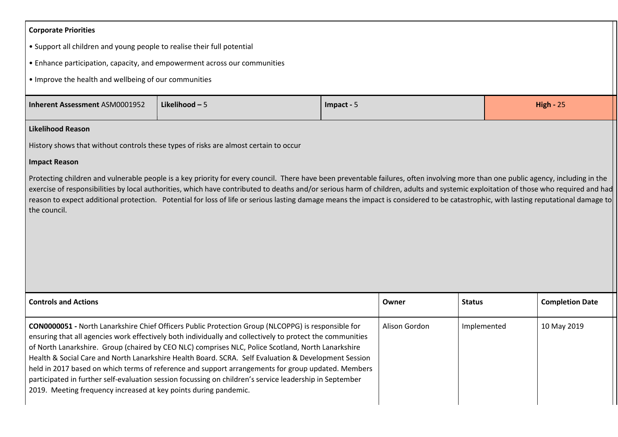#### **Corporate Priorities**

- Support all children and young people to realise their full potential
- Enhance participation, capacity, and empowerment across our communities
- Improve the health and wellbeing of our communities

| Inherent Assessment ASM0001952 | Likelihood - L | Impact - | ា⊏<br>High -<br>. |
|--------------------------------|----------------|----------|-------------------|
|                                |                |          |                   |

## **Likelihood Reason**

History shows that without controls these types of risks are almost certain to occur

#### **Impact Reason**

Protecting children and vulnerable people is a key priority for every council. There have been preventable failures, often involving more than one public agency, including in the exercise of responsibilities by local authorities, which have contributed to deaths and/or serious harm of children, adults and systemic exploitation of those who required and had reason to expect additional protection. Potential for loss of life or serious lasting damage means the impact is considered to be catastrophic, with lasting reputational damage to the council.

| <b>Controls and Actions</b>                                                                                                                                                                                                                                                                                                                                                                                                                                                                                                                                                                                                                                                                                               | Owner         | <b>Status</b> | <b>Completion Date</b> |
|---------------------------------------------------------------------------------------------------------------------------------------------------------------------------------------------------------------------------------------------------------------------------------------------------------------------------------------------------------------------------------------------------------------------------------------------------------------------------------------------------------------------------------------------------------------------------------------------------------------------------------------------------------------------------------------------------------------------------|---------------|---------------|------------------------|
| <b>CON0000051</b> - North Lanarkshire Chief Officers Public Protection Group (NLCOPPG) is responsible for<br>ensuring that all agencies work effectively both individually and collectively to protect the communities<br>of North Lanarkshire. Group (chaired by CEO NLC) comprises NLC, Police Scotland, North Lanarkshire<br>Health & Social Care and North Lanarkshire Health Board. SCRA. Self Evaluation & Development Session<br>held in 2017 based on which terms of reference and support arrangements for group updated. Members<br>participated in further self-evaluation session focussing on children's service leadership in September<br>2019. Meeting frequency increased at key points during pandemic. | Alison Gordon | Implemented   | 10 May 2019            |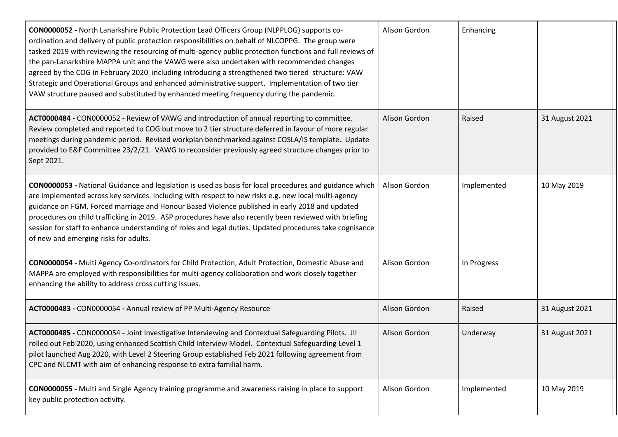| CON0000052 - North Lanarkshire Public Protection Lead Officers Group (NLPPLOG) supports co-<br>ordination and delivery of public protection responsibilities on behalf of NLCOPPG. The group were<br>tasked 2019 with reviewing the resourcing of multi-agency public protection functions and full reviews of<br>the pan-Lanarkshire MAPPA unit and the VAWG were also undertaken with recommended changes<br>agreed by the COG in February 2020 including introducing a strengthened two tiered structure: VAW<br>Strategic and Operational Groups and enhanced administrative support. Implementation of two tier<br>VAW structure paused and substituted by enhanced meeting frequency during the pandemic. | Alison Gordon | Enhancing   |                |
|-----------------------------------------------------------------------------------------------------------------------------------------------------------------------------------------------------------------------------------------------------------------------------------------------------------------------------------------------------------------------------------------------------------------------------------------------------------------------------------------------------------------------------------------------------------------------------------------------------------------------------------------------------------------------------------------------------------------|---------------|-------------|----------------|
| ACT0000484 - CON0000052 - Review of VAWG and introduction of annual reporting to committee.<br>Review completed and reported to COG but move to 2 tier structure deferred in favour of more regular<br>meetings during pandemic period. Revised workplan benchmarked against COSLA/IS template. Update<br>provided to E&F Committee 23/2/21. VAWG to reconsider previously agreed structure changes prior to<br>Sept 2021.                                                                                                                                                                                                                                                                                      | Alison Gordon | Raised      | 31 August 2021 |
| CON0000053 - National Guidance and legislation is used as basis for local procedures and guidance which<br>are implemented across key services. Including with respect to new risks e.g. new local multi-agency<br>guidance on FGM, Forced marriage and Honour Based Violence published in early 2018 and updated<br>procedures on child trafficking in 2019. ASP procedures have also recently been reviewed with briefing<br>session for staff to enhance understanding of roles and legal duties. Updated procedures take cognisance<br>of new and emerging risks for adults.                                                                                                                                | Alison Gordon | Implemented | 10 May 2019    |
| CON0000054 - Multi Agency Co-ordinators for Child Protection, Adult Protection, Domestic Abuse and<br>MAPPA are employed with responsibilities for multi-agency collaboration and work closely together<br>enhancing the ability to address cross cutting issues.                                                                                                                                                                                                                                                                                                                                                                                                                                               | Alison Gordon | In Progress |                |
| ACT0000483 - CON0000054 - Annual review of PP Multi-Agency Resource                                                                                                                                                                                                                                                                                                                                                                                                                                                                                                                                                                                                                                             | Alison Gordon | Raised      | 31 August 2021 |
| ACT0000485 - CON0000054 - Joint Investigative Interviewing and Contextual Safeguarding Pilots. JII<br>rolled out Feb 2020, using enhanced Scottish Child Interview Model. Contextual Safeguarding Level 1<br>pilot launched Aug 2020, with Level 2 Steering Group established Feb 2021 following agreement from<br>CPC and NLCMT with aim of enhancing response to extra familial harm.                                                                                                                                                                                                                                                                                                                         | Alison Gordon | Underway    | 31 August 2021 |
| <b>CON0000055</b> - Multi and Single Agency training programme and awareness raising in place to support<br>key public protection activity.                                                                                                                                                                                                                                                                                                                                                                                                                                                                                                                                                                     | Alison Gordon | Implemented | 10 May 2019    |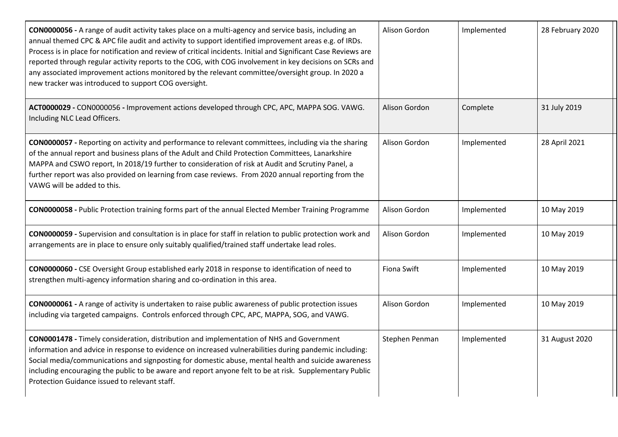| CON0000056 - A range of audit activity takes place on a multi-agency and service basis, including an<br>annual themed CPC & APC file audit and activity to support identified improvement areas e.g. of IRDs.<br>Process is in place for notification and review of critical incidents. Initial and Significant Case Reviews are<br>reported through regular activity reports to the COG, with COG involvement in key decisions on SCRs and<br>any associated improvement actions monitored by the relevant committee/oversight group. In 2020 a<br>new tracker was introduced to support COG oversight. | Alison Gordon  | Implemented | 28 February 2020 |
|----------------------------------------------------------------------------------------------------------------------------------------------------------------------------------------------------------------------------------------------------------------------------------------------------------------------------------------------------------------------------------------------------------------------------------------------------------------------------------------------------------------------------------------------------------------------------------------------------------|----------------|-------------|------------------|
| ACT0000029 - CON0000056 - Improvement actions developed through CPC, APC, MAPPA SOG. VAWG.<br>Including NLC Lead Officers.                                                                                                                                                                                                                                                                                                                                                                                                                                                                               | Alison Gordon  | Complete    | 31 July 2019     |
| CON0000057 - Reporting on activity and performance to relevant committees, including via the sharing<br>of the annual report and business plans of the Adult and Child Protection Committees, Lanarkshire<br>MAPPA and CSWO report, In 2018/19 further to consideration of risk at Audit and Scrutiny Panel, a<br>further report was also provided on learning from case reviews. From 2020 annual reporting from the<br>VAWG will be added to this.                                                                                                                                                     | Alison Gordon  | Implemented | 28 April 2021    |
| CON0000058 - Public Protection training forms part of the annual Elected Member Training Programme                                                                                                                                                                                                                                                                                                                                                                                                                                                                                                       | Alison Gordon  | Implemented | 10 May 2019      |
| CON0000059 - Supervision and consultation is in place for staff in relation to public protection work and<br>arrangements are in place to ensure only suitably qualified/trained staff undertake lead roles.                                                                                                                                                                                                                                                                                                                                                                                             | Alison Gordon  | Implemented | 10 May 2019      |
| CON0000060 - CSE Oversight Group established early 2018 in response to identification of need to<br>strengthen multi-agency information sharing and co-ordination in this area.                                                                                                                                                                                                                                                                                                                                                                                                                          | Fiona Swift    | Implemented | 10 May 2019      |
| CON0000061 - A range of activity is undertaken to raise public awareness of public protection issues<br>including via targeted campaigns. Controls enforced through CPC, APC, MAPPA, SOG, and VAWG.                                                                                                                                                                                                                                                                                                                                                                                                      | Alison Gordon  | Implemented | 10 May 2019      |
| CON0001478 - Timely consideration, distribution and implementation of NHS and Government<br>information and advice in response to evidence on increased vulnerabilities during pandemic including:<br>Social media/communications and signposting for domestic abuse, mental health and suicide awareness<br>including encouraging the public to be aware and report anyone felt to be at risk. Supplementary Public<br>Protection Guidance issued to relevant staff.                                                                                                                                    | Stephen Penman | Implemented | 31 August 2020   |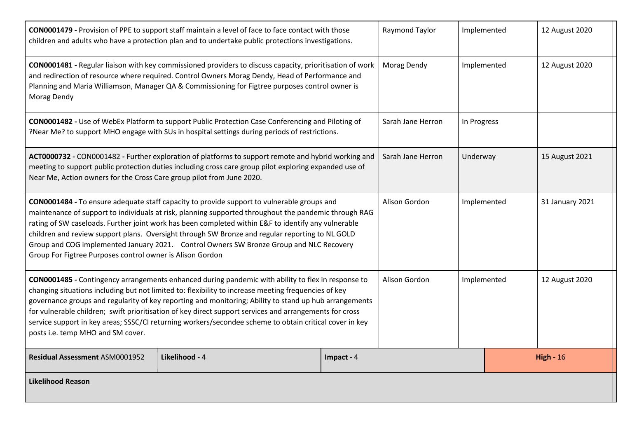| CON0001479 - Provision of PPE to support staff maintain a level of face to face contact with those<br>children and adults who have a protection plan and to undertake public protections investigations.                                                                                                                                                                                                                                                                                                                                                                        |                |            | Raymond Taylor    | Implemented      |  | 12 August 2020  |
|---------------------------------------------------------------------------------------------------------------------------------------------------------------------------------------------------------------------------------------------------------------------------------------------------------------------------------------------------------------------------------------------------------------------------------------------------------------------------------------------------------------------------------------------------------------------------------|----------------|------------|-------------------|------------------|--|-----------------|
| CON0001481 - Regular liaison with key commissioned providers to discuss capacity, prioritisation of work<br>and redirection of resource where required. Control Owners Morag Dendy, Head of Performance and<br>Planning and Maria Williamson, Manager QA & Commissioning for Figtree purposes control owner is<br>Morag Dendy                                                                                                                                                                                                                                                   |                |            | Morag Dendy       | Implemented      |  | 12 August 2020  |
| CON0001482 - Use of WebEx Platform to support Public Protection Case Conferencing and Piloting of<br>?Near Me? to support MHO engage with SUs in hospital settings during periods of restrictions.                                                                                                                                                                                                                                                                                                                                                                              |                |            | Sarah Jane Herron | In Progress      |  |                 |
| ACT0000732 - CON0001482 - Further exploration of platforms to support remote and hybrid working and<br>meeting to support public protection duties including cross care group pilot exploring expanded use of<br>Near Me, Action owners for the Cross Care group pilot from June 2020.                                                                                                                                                                                                                                                                                          |                |            | Sarah Jane Herron | Underway         |  | 15 August 2021  |
| CON0001484 - To ensure adequate staff capacity to provide support to vulnerable groups and<br>maintenance of support to individuals at risk, planning supported throughout the pandemic through RAG<br>rating of SW caseloads. Further joint work has been completed within E&F to identify any vulnerable<br>children and review support plans. Oversight through SW Bronze and regular reporting to NL GOLD<br>Group and COG implemented January 2021. Control Owners SW Bronze Group and NLC Recovery<br>Group For Figtree Purposes control owner is Alison Gordon           |                |            | Alison Gordon     | Implemented      |  | 31 January 2021 |
| CON0001485 - Contingency arrangements enhanced during pandemic with ability to flex in response to<br>changing situations including but not limited to: flexibility to increase meeting frequencies of key<br>governance groups and regularity of key reporting and monitoring; Ability to stand up hub arrangements<br>for vulnerable children; swift prioritisation of key direct support services and arrangements for cross<br>service support in key areas; SSSC/CI returning workers/secondee scheme to obtain critical cover in key<br>posts i.e. temp MHO and SM cover. |                |            | Alison Gordon     | Implemented      |  | 12 August 2020  |
| Residual Assessment ASM0001952                                                                                                                                                                                                                                                                                                                                                                                                                                                                                                                                                  | Likelihood - 4 | Impact - 4 |                   | <b>High - 16</b> |  |                 |
| <b>Likelihood Reason</b>                                                                                                                                                                                                                                                                                                                                                                                                                                                                                                                                                        |                |            |                   |                  |  |                 |